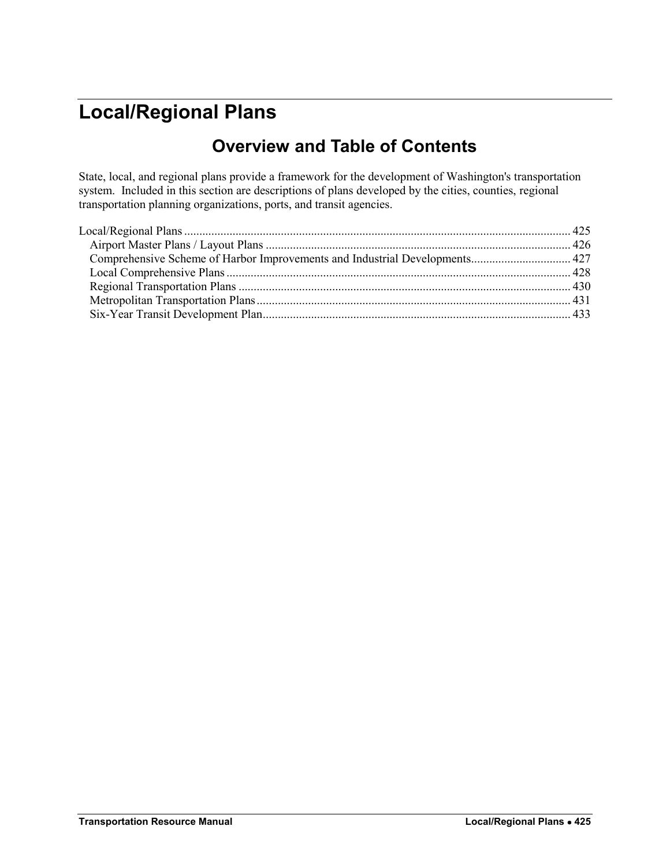# <span id="page-0-0"></span>**Local/Regional Plans**

## **Overview and Table of Contents**

State, local, and regional plans provide a framework for the development of Washington's transportation system. Included in this section are descriptions of plans developed by the cities, counties, regional transportation planning organizations, ports, and transit agencies.

| Comprehensive Scheme of Harbor Improvements and Industrial Developments 427 |
|-----------------------------------------------------------------------------|
|                                                                             |
|                                                                             |
|                                                                             |
|                                                                             |
|                                                                             |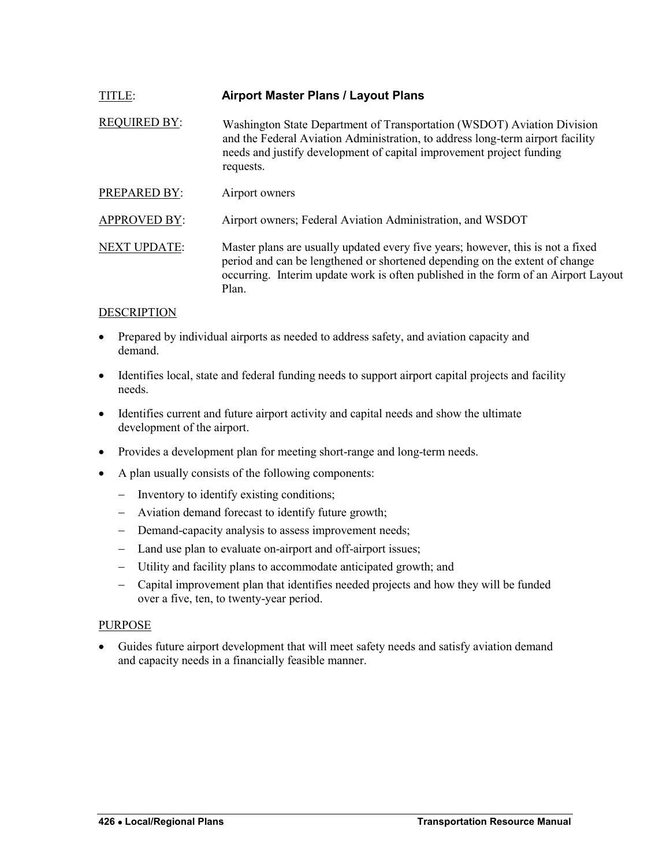<span id="page-1-0"></span>

| TITLE:              | <b>Airport Master Plans / Layout Plans</b>                                                                                                                                                                                                                    |
|---------------------|---------------------------------------------------------------------------------------------------------------------------------------------------------------------------------------------------------------------------------------------------------------|
| <b>REQUIRED BY:</b> | Washington State Department of Transportation (WSDOT) Aviation Division<br>and the Federal Aviation Administration, to address long-term airport facility<br>needs and justify development of capital improvement project funding<br>requests.                |
| PREPARED BY:        | Airport owners                                                                                                                                                                                                                                                |
| <b>APPROVED BY:</b> | Airport owners; Federal Aviation Administration, and WSDOT                                                                                                                                                                                                    |
| <b>NEXT UPDATE:</b> | Master plans are usually updated every five years; however, this is not a fixed<br>period and can be lengthened or shortened depending on the extent of change<br>occurring. Interim update work is often published in the form of an Airport Layout<br>Plan. |

- Prepared by individual airports as needed to address safety, and aviation capacity and demand.
- Identifies local, state and federal funding needs to support airport capital projects and facility needs.
- Identifies current and future airport activity and capital needs and show the ultimate development of the airport.
- Provides a development plan for meeting short-range and long-term needs.
- A plan usually consists of the following components:
	- Inventory to identify existing conditions;
	- Aviation demand forecast to identify future growth;
	- Demand-capacity analysis to assess improvement needs;
	- Land use plan to evaluate on-airport and off-airport issues;
	- Utility and facility plans to accommodate anticipated growth; and
	- Capital improvement plan that identifies needed projects and how they will be funded over a five, ten, to twenty-year period.

#### PURPOSE

 Guides future airport development that will meet safety needs and satisfy aviation demand and capacity needs in a financially feasible manner.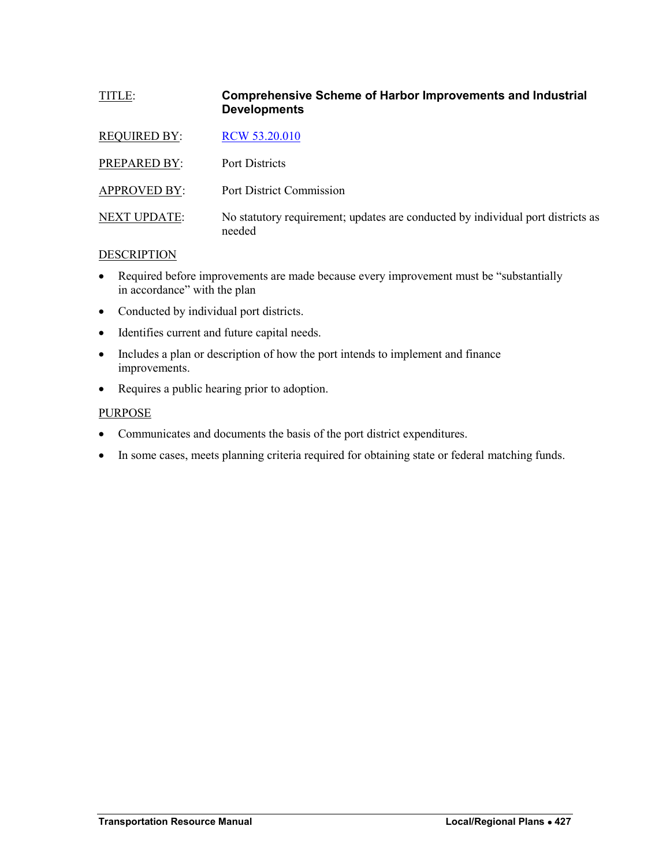## <span id="page-2-0"></span>TITLE: **Comprehensive Scheme of Harbor Improvements and Industrial Developments**

| <b>REQUIRED BY:</b> | RCW 53.20.010                                                                             |
|---------------------|-------------------------------------------------------------------------------------------|
| PREPARED BY:        | Port Districts                                                                            |
| <b>APPROVED BY:</b> | Port District Commission                                                                  |
| <b>NEXT UPDATE:</b> | No statutory requirement; updates are conducted by individual port districts as<br>needed |

## DESCRIPTION

- Required before improvements are made because every improvement must be "substantially" in accordance" with the plan
- Conducted by individual port districts.
- Identifies current and future capital needs.
- Includes a plan or description of how the port intends to implement and finance improvements.
- Requires a public hearing prior to adoption.

#### PURPOSE

- Communicates and documents the basis of the port district expenditures.
- In some cases, meets planning criteria required for obtaining state or federal matching funds.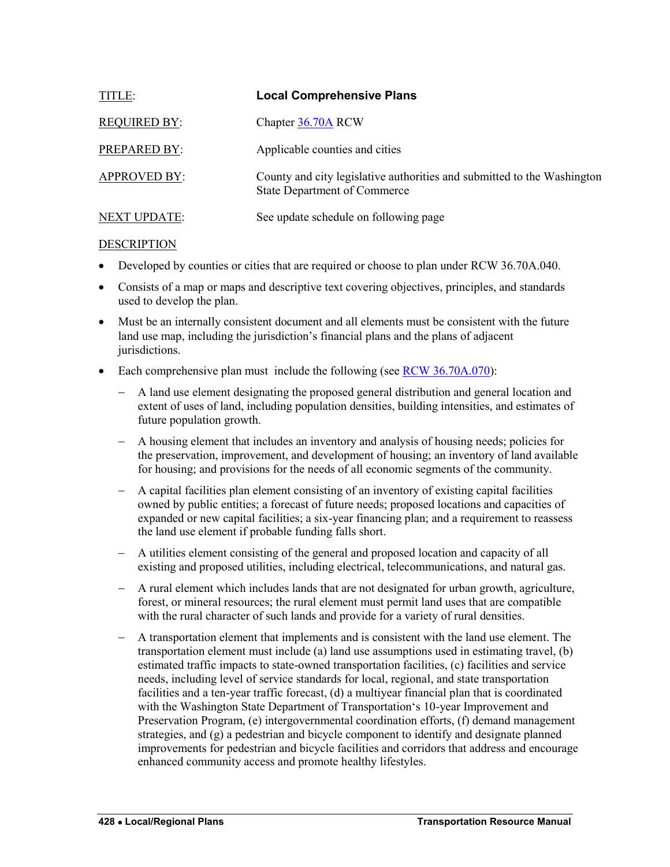<span id="page-3-0"></span>

| <b>TITLE:</b>       | <b>Local Comprehensive Plans</b>                                                                               |
|---------------------|----------------------------------------------------------------------------------------------------------------|
| <b>REQUIRED BY:</b> | Chapter 36.70A RCW                                                                                             |
| PREPARED BY:        | Applicable counties and cities                                                                                 |
| <b>APPROVED BY:</b> | County and city legislative authorities and submitted to the Washington<br><b>State Department of Commerce</b> |
| <b>NEXT UPDATE:</b> | See update schedule on following page                                                                          |

- Developed by counties or cities that are required or choose to plan under RCW 36.70A.040.
- Consists of a map or maps and descriptive text covering objectives, principles, and standards used to develop the plan.
- Must be an internally consistent document and all elements must be consistent with the future land use map, including the jurisdiction's financial plans and the plans of adjacent jurisdictions.
- Each comprehensive plan must include the following (see [RCW 36.70A.070\)](http://apps.leg.wa.gov/rcw/default.aspx?cite=36.70A.070):
	- A land use element designating the proposed general distribution and general location and extent of uses of land, including population densities, building intensities, and estimates of future population growth.
	- A housing element that includes an inventory and analysis of housing needs; policies for the preservation, improvement, and development of housing; an inventory of land available for housing; and provisions for the needs of all economic segments of the community.
	- A capital facilities plan element consisting of an inventory of existing capital facilities owned by public entities; a forecast of future needs; proposed locations and capacities of expanded or new capital facilities; a six-year financing plan; and a requirement to reassess the land use element if probable funding falls short.
	- A utilities element consisting of the general and proposed location and capacity of all existing and proposed utilities, including electrical, telecommunications, and natural gas.
	- A rural element which includes lands that are not designated for urban growth, agriculture, forest, or mineral resources; the rural element must permit land uses that are compatible with the rural character of such lands and provide for a variety of rural densities.
	- A transportation element that implements and is consistent with the land use element. The transportation element must include (a) land use assumptions used in estimating travel, (b) estimated traffic impacts to state-owned transportation facilities, (c) facilities and service needs, including level of service standards for local, regional, and state transportation facilities and a ten-year traffic forecast, (d) a multiyear financial plan that is coordinated with the Washington State Department of Transportation's 10-year Improvement and Preservation Program, (e) intergovernmental coordination efforts, (f) demand management strategies, and (g) a pedestrian and bicycle component to identify and designate planned improvements for pedestrian and bicycle facilities and corridors that address and encourage enhanced community access and promote healthy lifestyles.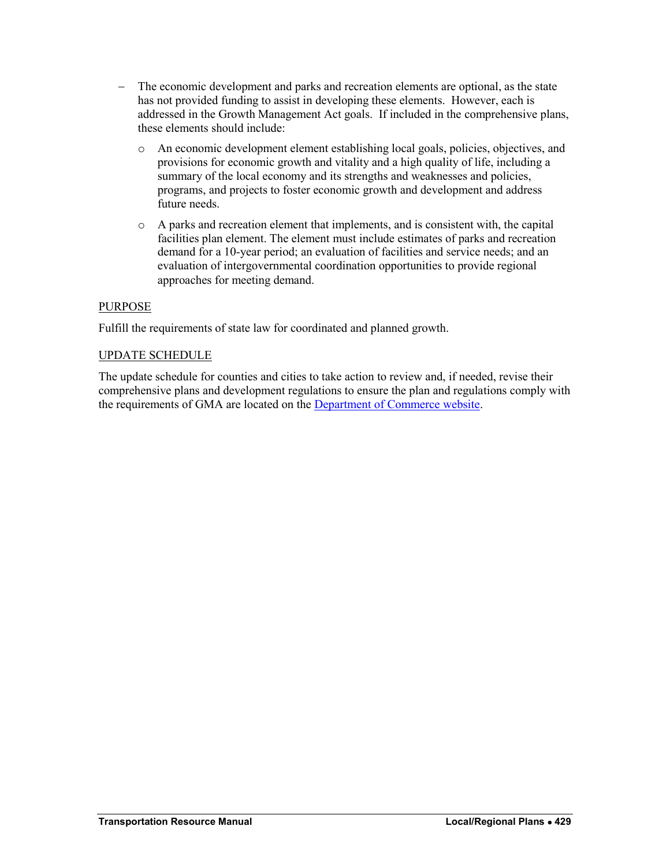- The economic development and parks and recreation elements are optional, as the state has not provided funding to assist in developing these elements. However, each is addressed in the Growth Management Act goals. If included in the comprehensive plans, these elements should include:
	- o An economic development element establishing local goals, policies, objectives, and provisions for economic growth and vitality and a high quality of life, including a summary of the local economy and its strengths and weaknesses and policies, programs, and projects to foster economic growth and development and address future needs.
	- o A parks and recreation element that implements, and is consistent with, the capital facilities plan element. The element must include estimates of parks and recreation demand for a 10-year period; an evaluation of facilities and service needs; and an evaluation of intergovernmental coordination opportunities to provide regional approaches for meeting demand.

## PURPOSE

Fulfill the requirements of state law for coordinated and planned growth.

## UPDATE SCHEDULE

The update schedule for counties and cities to take action to review and, if needed, revise their comprehensive plans and development regulations to ensure the plan and regulations comply with the requirements of GMA are located on the [Department of Commerce website.](http://www.commerce.wa.gov/Services/localgovernment/GrowthManagement/Growth-Management-Planning-Topics/Pages/GMA-Periodic-Update.aspx)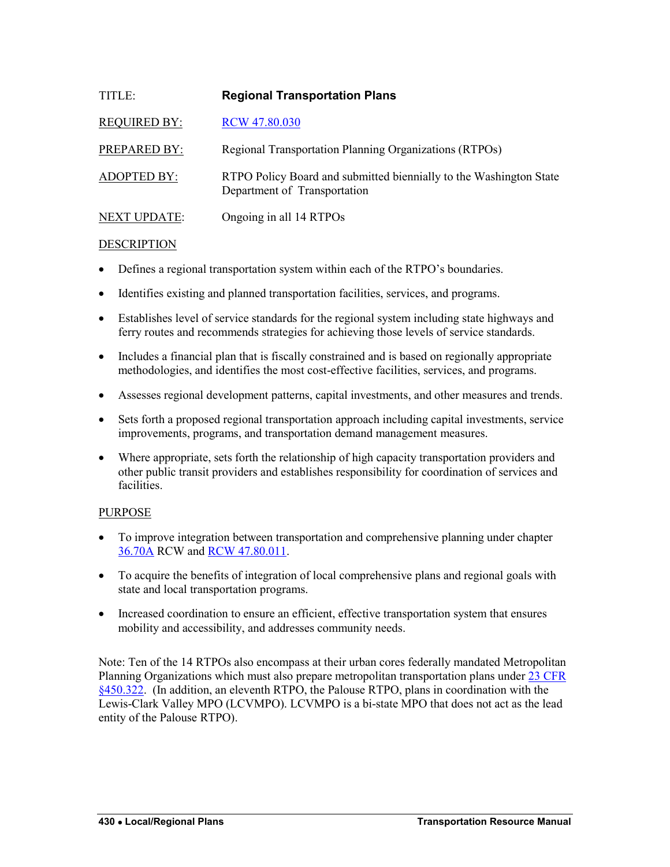<span id="page-5-0"></span>

| TITLE:              | <b>Regional Transportation Plans</b>                                                               |
|---------------------|----------------------------------------------------------------------------------------------------|
| <b>REQUIRED BY:</b> | RCW 47.80.030                                                                                      |
| <b>PREPARED BY:</b> | Regional Transportation Planning Organizations (RTPOs)                                             |
| <b>ADOPTED BY:</b>  | RTPO Policy Board and submitted biennially to the Washington State<br>Department of Transportation |
| <b>NEXT UPDATE:</b> | Ongoing in all 14 RTPOs                                                                            |

- Defines a regional transportation system within each of the RTPO's boundaries.
- Identifies existing and planned transportation facilities, services, and programs.
- Establishes level of service standards for the regional system including state highways and ferry routes and recommends strategies for achieving those levels of service standards.
- Includes a financial plan that is fiscally constrained and is based on regionally appropriate methodologies, and identifies the most cost-effective facilities, services, and programs.
- Assesses regional development patterns, capital investments, and other measures and trends.
- Sets forth a proposed regional transportation approach including capital investments, service improvements, programs, and transportation demand management measures.
- Where appropriate, sets forth the relationship of high capacity transportation providers and other public transit providers and establishes responsibility for coordination of services and facilities.

## PURPOSE

- To improve integration between transportation and comprehensive planning under chapter [36.70A](http://apps.leg.wa.gov/rcw/default.aspx?cite=36.70A) RCW and [RCW 47.80.011.](http://apps.leg.wa.gov/rcw/default.aspx?cite=47.80.011)
- To acquire the benefits of integration of local comprehensive plans and regional goals with state and local transportation programs.
- Increased coordination to ensure an efficient, effective transportation system that ensures mobility and accessibility, and addresses community needs.

Note: Ten of the 14 RTPOs also encompass at their urban cores federally mandated Metropolitan Planning Organizations which must also prepare metropolitan transportation plans under [23 CFR](http://www.gpo.gov/fdsys/pkg/CFR-2012-title23-vol1/pdf/CFR-2012-title23-vol1-sec450-322.pdf)  [§450.322.](http://www.gpo.gov/fdsys/pkg/CFR-2012-title23-vol1/pdf/CFR-2012-title23-vol1-sec450-322.pdf) (In addition, an eleventh RTPO, the Palouse RTPO, plans in coordination with the Lewis-Clark Valley MPO (LCVMPO). LCVMPO is a bi-state MPO that does not act as the lead entity of the Palouse RTPO).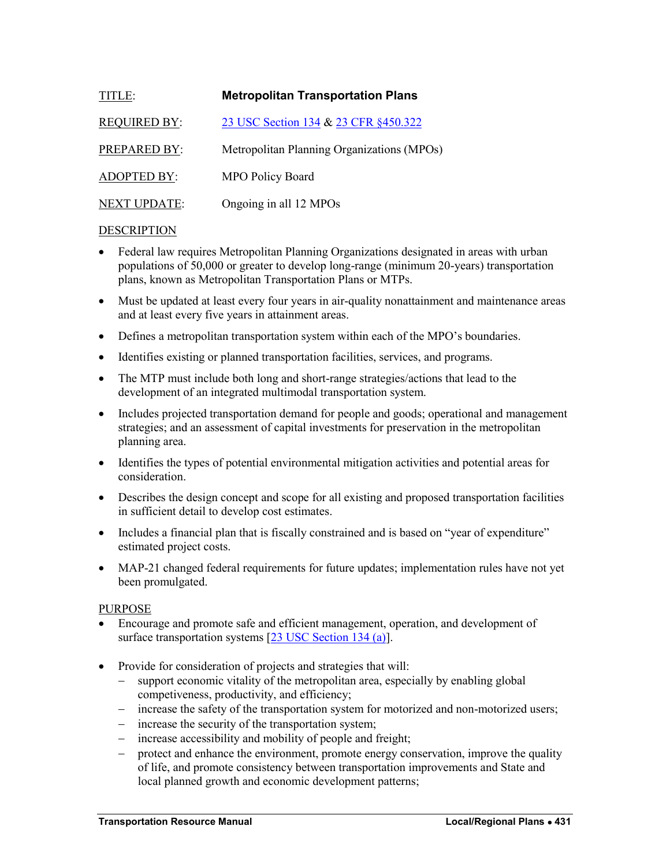<span id="page-6-0"></span>

| TITLE:              | <b>Metropolitan Transportation Plans</b>   |
|---------------------|--------------------------------------------|
| <b>REQUIRED BY:</b> | 23 USC Section 134 & 23 CFR §450.322       |
| PREPARED BY:        | Metropolitan Planning Organizations (MPOs) |
| <b>ADOPTED BY:</b>  | <b>MPO Policy Board</b>                    |
| <b>NEXT UPDATE:</b> | Ongoing in all 12 MPOs                     |

- Federal law requires Metropolitan Planning Organizations designated in areas with urban populations of 50,000 or greater to develop long-range (minimum 20-years) transportation plans, known as Metropolitan Transportation Plans or MTPs.
- Must be updated at least every four years in air-quality nonattainment and maintenance areas and at least every five years in attainment areas.
- Defines a metropolitan transportation system within each of the MPO's boundaries.
- Identifies existing or planned transportation facilities, services, and programs.
- The MTP must include both long and short-range strategies/actions that lead to the development of an integrated multimodal transportation system.
- Includes projected transportation demand for people and goods; operational and management strategies; and an assessment of capital investments for preservation in the metropolitan planning area.
- Identifies the types of potential environmental mitigation activities and potential areas for consideration.
- Describes the design concept and scope for all existing and proposed transportation facilities in sufficient detail to develop cost estimates.
- Includes a financial plan that is fiscally constrained and is based on "year of expenditure" estimated project costs.
- MAP-21 changed federal requirements for future updates; implementation rules have not yet been promulgated.

## PURPOSE

- Encourage and promote safe and efficient management, operation, and development of surface transportation systems [\[23 USC Section 134 \(a\)\]](http://www.fhwa.dot.gov/hep/legreg.htm).
- Provide for consideration of projects and strategies that will:
	- support economic vitality of the metropolitan area, especially by enabling global competiveness, productivity, and efficiency;
	- increase the safety of the transportation system for motorized and non-motorized users;
	- increase the security of the transportation system;
	- increase accessibility and mobility of people and freight;
	- protect and enhance the environment, promote energy conservation, improve the quality of life, and promote consistency between transportation improvements and State and local planned growth and economic development patterns;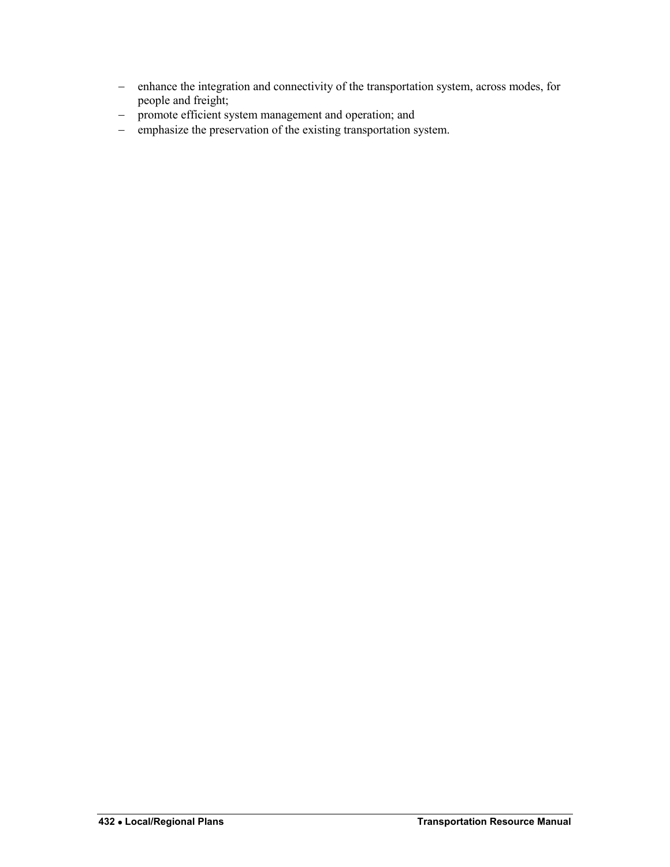- enhance the integration and connectivity of the transportation system, across modes, for people and freight;
- promote efficient system management and operation; and
- emphasize the preservation of the existing transportation system.